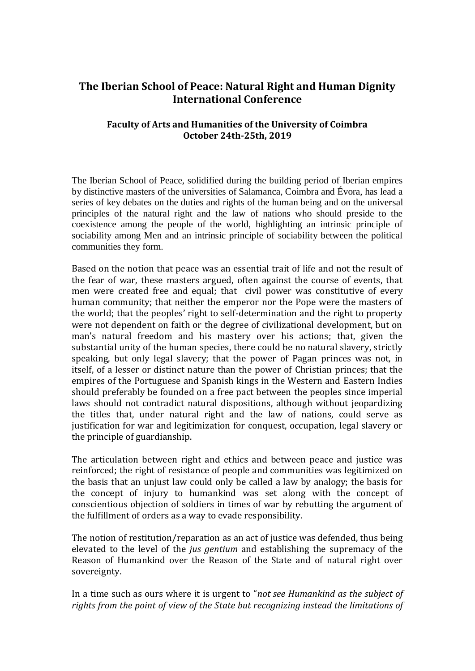## **The Iberian School of Peace: Natural Right and Human Dignity International Conference**

## **Faculty of Arts and Humanities of the University of Coimbra October 24th-25th, 2019**

The Iberian School of Peace, solidified during the building period of Iberian empires by distinctive masters of the universities of Salamanca, Coimbra and Évora, has lead a series of key debates on the duties and rights of the human being and on the universal principles of the natural right and the law of nations who should preside to the coexistence among the people of the world, highlighting an intrinsic principle of sociability among Men and an intrinsic principle of sociability between the political communities they form.

Based on the notion that peace was an essential trait of life and not the result of the fear of war, these masters argued, often against the course of events, that men were created free and equal; that civil power was constitutive of every human community; that neither the emperor nor the Pope were the masters of the world; that the peoples' right to self-determination and the right to property were not dependent on faith or the degree of civilizational development, but on man's natural freedom and his mastery over his actions; that, given the substantial unity of the human species, there could be no natural slavery, strictly speaking, but only legal slavery; that the power of Pagan princes was not, in itself, of a lesser or distinct nature than the power of Christian princes; that the empires of the Portuguese and Spanish kings in the Western and Eastern Indies should preferably be founded on a free pact between the peoples since imperial laws should not contradict natural dispositions, although without jeopardizing the titles that, under natural right and the law of nations, could serve as justification for war and legitimization for conquest, occupation, legal slavery or the principle of guardianship.

The articulation between right and ethics and between peace and justice was reinforced; the right of resistance of people and communities was legitimized on the basis that an unjust law could only be called a law by analogy; the basis for the concept of injury to humankind was set along with the concept of conscientious objection of soldiers in times of war by rebutting the argument of the fulfillment of orders as a way to evade responsibility.

The notion of restitution/reparation as an act of justice was defended, thus being elevated to the level of the *jus gentium* and establishing the supremacy of the Reason of Humankind over the Reason of the State and of natural right over sovereignty.

In a time such as ours where it is urgent to "*not see Humankind as the subject of rights from the point of view of the State but recognizing instead the limitations of*